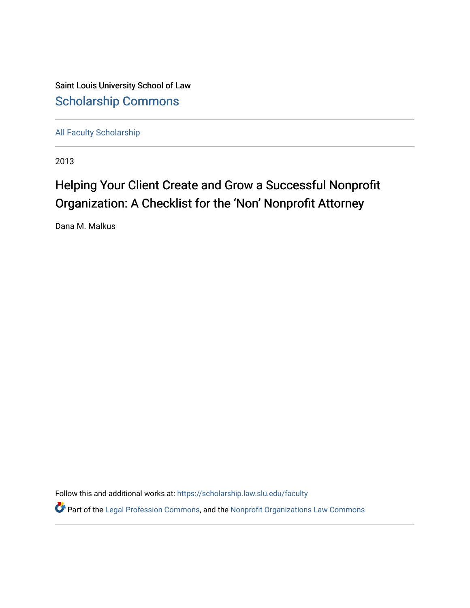Saint Louis University School of Law [Scholarship Commons](https://scholarship.law.slu.edu/)

[All Faculty Scholarship](https://scholarship.law.slu.edu/faculty) 

2013

## Helping Your Client Create and Grow a Successful Nonprofit Organization: A Checklist for the 'Non' Nonprofit Attorney

Dana M. Malkus

Follow this and additional works at: [https://scholarship.law.slu.edu/faculty](https://scholarship.law.slu.edu/faculty?utm_source=scholarship.law.slu.edu%2Ffaculty%2F639&utm_medium=PDF&utm_campaign=PDFCoverPages)

**P** Part of the [Legal Profession Commons](http://network.bepress.com/hgg/discipline/1075?utm_source=scholarship.law.slu.edu%2Ffaculty%2F639&utm_medium=PDF&utm_campaign=PDFCoverPages), and the Nonprofit Organizations Law Commons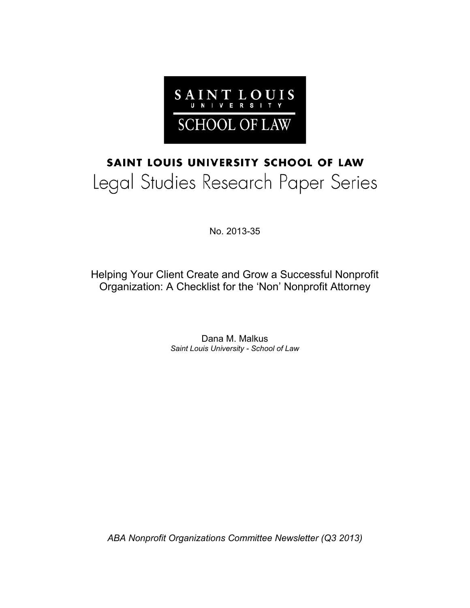

# SAINT LOUIS UNIVERSITY SCHOOL OF LAW Legal Studies Research Paper Series

No. 2013-35

Helping Your Client Create and Grow a Successful Nonprofit Organization: A Checklist for the 'Non' Nonprofit Attorney

> Dana M. Malkus *Saint Louis University - School of Law*

*ABA Nonprofit Organizations Committee Newsletter (Q3 2013)*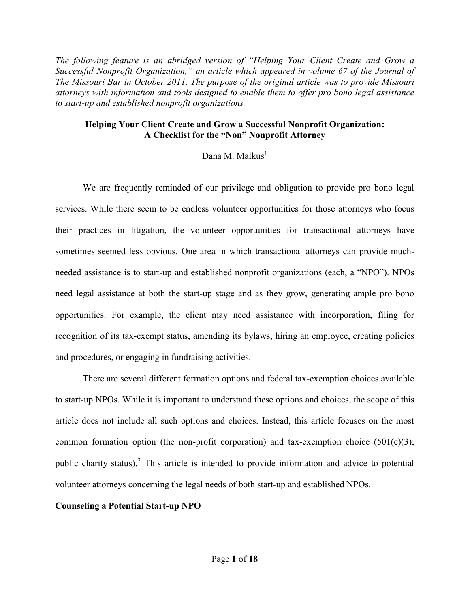*The following feature is an abridged version of "Helping Your Client Create and Grow a Successful Nonprofit Organization," an article which appeared in volume 67 of the Journal of The Missouri Bar in October 2011. The purpose of the original article was to provide Missouri attorneys with information and tools designed to enable them to offer pro bono legal assistance to start-up and established nonprofit organizations.* 

## **Helping Your Client Create and Grow a Successful Nonprofit Organization: A Checklist for the "Non" Nonprofit Attorney**

### Dana M. Malkus<sup>1</sup>

 We are frequently reminded of our privilege and obligation to provide pro bono legal services. While there seem to be endless volunteer opportunities for those attorneys who focus their practices in litigation, the volunteer opportunities for transactional attorneys have sometimes seemed less obvious. One area in which transactional attorneys can provide muchneeded assistance is to start-up and established nonprofit organizations (each, a "NPO"). NPOs need legal assistance at both the start-up stage and as they grow, generating ample pro bono opportunities. For example, the client may need assistance with incorporation, filing for recognition of its tax-exempt status, amending its bylaws, hiring an employee, creating policies and procedures, or engaging in fundraising activities.

 There are several different formation options and federal tax-exemption choices available to start-up NPOs. While it is important to understand these options and choices, the scope of this article does not include all such options and choices. Instead, this article focuses on the most common formation option (the non-profit corporation) and tax-exemption choice  $(501(c)(3))$ ; public charity status).<sup>2</sup> This article is intended to provide information and advice to potential volunteer attorneys concerning the legal needs of both start-up and established NPOs.

#### **Counseling a Potential Start-up NPO**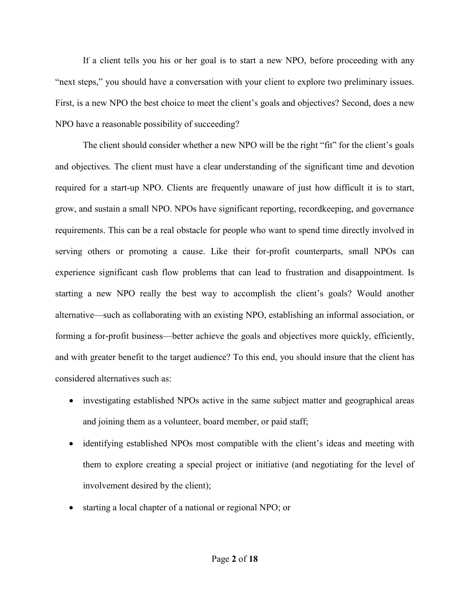If a client tells you his or her goal is to start a new NPO, before proceeding with any "next steps," you should have a conversation with your client to explore two preliminary issues. First, is a new NPO the best choice to meet the client's goals and objectives? Second, does a new NPO have a reasonable possibility of succeeding?

The client should consider whether a new NPO will be the right "fit" for the client's goals and objectives. The client must have a clear understanding of the significant time and devotion required for a start-up NPO. Clients are frequently unaware of just how difficult it is to start, grow, and sustain a small NPO. NPOs have significant reporting, recordkeeping, and governance requirements. This can be a real obstacle for people who want to spend time directly involved in serving others or promoting a cause. Like their for-profit counterparts, small NPOs can experience significant cash flow problems that can lead to frustration and disappointment. Is starting a new NPO really the best way to accomplish the client's goals? Would another alternative—such as collaborating with an existing NPO, establishing an informal association, or forming a for-profit business—better achieve the goals and objectives more quickly, efficiently, and with greater benefit to the target audience? To this end, you should insure that the client has considered alternatives such as:

- investigating established NPOs active in the same subject matter and geographical areas and joining them as a volunteer, board member, or paid staff;
- identifying established NPOs most compatible with the client's ideas and meeting with them to explore creating a special project or initiative (and negotiating for the level of involvement desired by the client);
- starting a local chapter of a national or regional NPO; or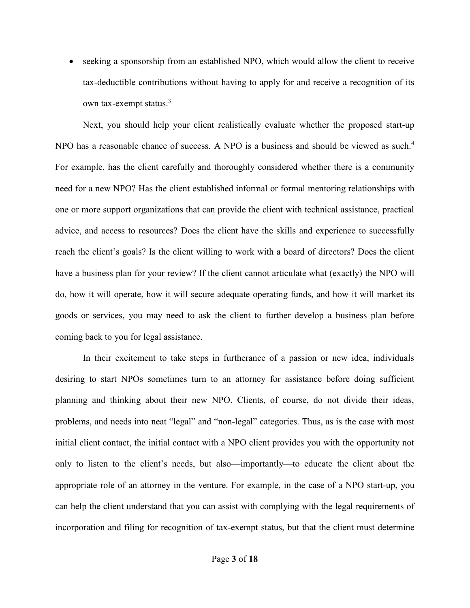seeking a sponsorship from an established NPO, which would allow the client to receive tax-deductible contributions without having to apply for and receive a recognition of its own tax-exempt status.<sup>3</sup>

Next, you should help your client realistically evaluate whether the proposed start-up NPO has a reasonable chance of success. A NPO is a business and should be viewed as such.<sup>4</sup> For example, has the client carefully and thoroughly considered whether there is a community need for a new NPO? Has the client established informal or formal mentoring relationships with one or more support organizations that can provide the client with technical assistance, practical advice, and access to resources? Does the client have the skills and experience to successfully reach the client's goals? Is the client willing to work with a board of directors? Does the client have a business plan for your review? If the client cannot articulate what (exactly) the NPO will do, how it will operate, how it will secure adequate operating funds, and how it will market its goods or services, you may need to ask the client to further develop a business plan before coming back to you for legal assistance.

 In their excitement to take steps in furtherance of a passion or new idea, individuals desiring to start NPOs sometimes turn to an attorney for assistance before doing sufficient planning and thinking about their new NPO. Clients, of course, do not divide their ideas, problems, and needs into neat "legal" and "non-legal" categories. Thus, as is the case with most initial client contact, the initial contact with a NPO client provides you with the opportunity not only to listen to the client's needs, but also—importantly—to educate the client about the appropriate role of an attorney in the venture. For example, in the case of a NPO start-up, you can help the client understand that you can assist with complying with the legal requirements of incorporation and filing for recognition of tax-exempt status, but that the client must determine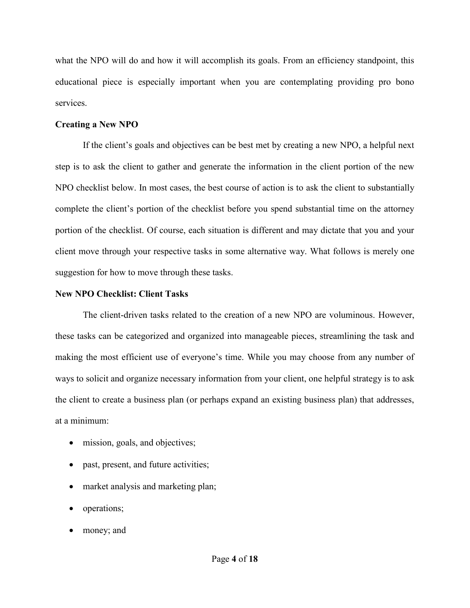what the NPO will do and how it will accomplish its goals. From an efficiency standpoint, this educational piece is especially important when you are contemplating providing pro bono services.

#### **Creating a New NPO**

If the client's goals and objectives can be best met by creating a new NPO, a helpful next step is to ask the client to gather and generate the information in the client portion of the new NPO checklist below. In most cases, the best course of action is to ask the client to substantially complete the client's portion of the checklist before you spend substantial time on the attorney portion of the checklist. Of course, each situation is different and may dictate that you and your client move through your respective tasks in some alternative way. What follows is merely one suggestion for how to move through these tasks.

#### **New NPO Checklist: Client Tasks**

 The client-driven tasks related to the creation of a new NPO are voluminous. However, these tasks can be categorized and organized into manageable pieces, streamlining the task and making the most efficient use of everyone's time. While you may choose from any number of ways to solicit and organize necessary information from your client, one helpful strategy is to ask the client to create a business plan (or perhaps expand an existing business plan) that addresses, at a minimum:

- mission, goals, and objectives;
- past, present, and future activities;
- market analysis and marketing plan;
- operations;
- money; and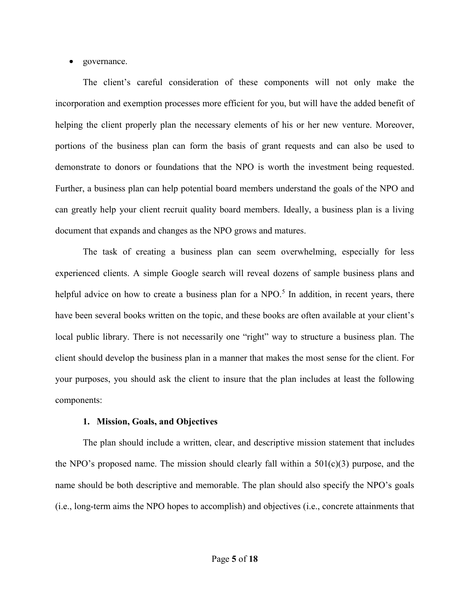#### governance.

The client's careful consideration of these components will not only make the incorporation and exemption processes more efficient for you, but will have the added benefit of helping the client properly plan the necessary elements of his or her new venture. Moreover, portions of the business plan can form the basis of grant requests and can also be used to demonstrate to donors or foundations that the NPO is worth the investment being requested. Further, a business plan can help potential board members understand the goals of the NPO and can greatly help your client recruit quality board members. Ideally, a business plan is a living document that expands and changes as the NPO grows and matures.

The task of creating a business plan can seem overwhelming, especially for less experienced clients. A simple Google search will reveal dozens of sample business plans and helpful advice on how to create a business plan for a NPO.<sup>5</sup> In addition, in recent years, there have been several books written on the topic, and these books are often available at your client's local public library. There is not necessarily one "right" way to structure a business plan. The client should develop the business plan in a manner that makes the most sense for the client. For your purposes, you should ask the client to insure that the plan includes at least the following components:

#### **1. Mission, Goals, and Objectives**

The plan should include a written, clear, and descriptive mission statement that includes the NPO's proposed name. The mission should clearly fall within a  $501(c)(3)$  purpose, and the name should be both descriptive and memorable. The plan should also specify the NPO's goals (i.e., long-term aims the NPO hopes to accomplish) and objectives (i.e., concrete attainments that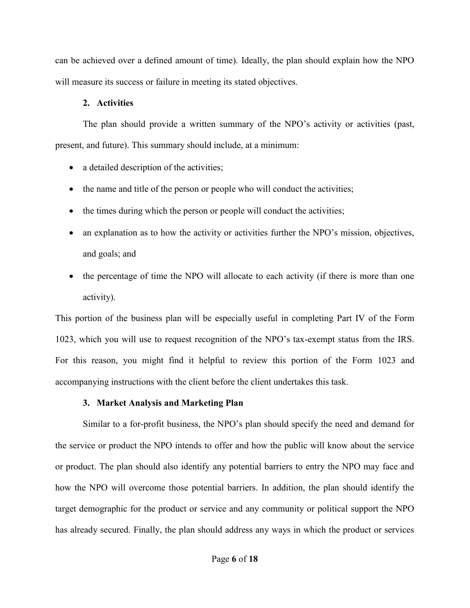can be achieved over a defined amount of time). Ideally, the plan should explain how the NPO will measure its success or failure in meeting its stated objectives.

## **2. Activities**

The plan should provide a written summary of the NPO's activity or activities (past, present, and future). This summary should include, at a minimum:

- a detailed description of the activities;
- the name and title of the person or people who will conduct the activities;
- the times during which the person or people will conduct the activities;
- an explanation as to how the activity or activities further the NPO's mission, objectives, and goals; and
- the percentage of time the NPO will allocate to each activity (if there is more than one activity).

This portion of the business plan will be especially useful in completing Part IV of the Form 1023, which you will use to request recognition of the NPO's tax-exempt status from the IRS. For this reason, you might find it helpful to review this portion of the Form 1023 and accompanying instructions with the client before the client undertakes this task.

## **3. Market Analysis and Marketing Plan**

Similar to a for-profit business, the NPO's plan should specify the need and demand for the service or product the NPO intends to offer and how the public will know about the service or product. The plan should also identify any potential barriers to entry the NPO may face and how the NPO will overcome those potential barriers. In addition, the plan should identify the target demographic for the product or service and any community or political support the NPO has already secured. Finally, the plan should address any ways in which the product or services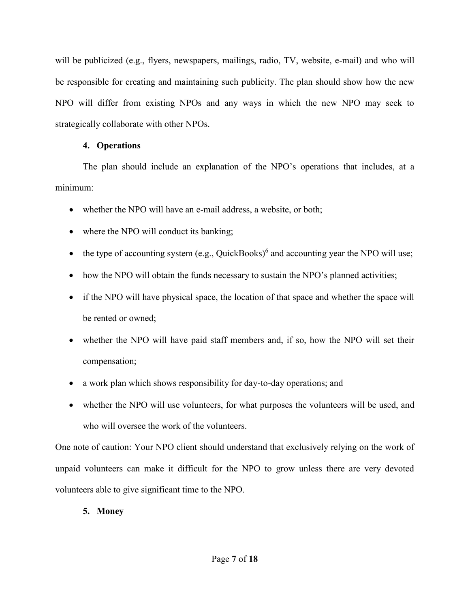will be publicized (e.g., flyers, newspapers, mailings, radio, TV, website, e-mail) and who will be responsible for creating and maintaining such publicity. The plan should show how the new NPO will differ from existing NPOs and any ways in which the new NPO may seek to strategically collaborate with other NPOs.

## **4. Operations**

The plan should include an explanation of the NPO's operations that includes, at a minimum:

- whether the NPO will have an e-mail address, a website, or both;
- where the NPO will conduct its banking;
- $\bullet$  the type of accounting system (e.g., QuickBooks)<sup>6</sup> and accounting year the NPO will use;
- how the NPO will obtain the funds necessary to sustain the NPO's planned activities;
- if the NPO will have physical space, the location of that space and whether the space will be rented or owned;
- whether the NPO will have paid staff members and, if so, how the NPO will set their compensation;
- a work plan which shows responsibility for day-to-day operations; and
- whether the NPO will use volunteers, for what purposes the volunteers will be used, and who will oversee the work of the volunteers.

One note of caution: Your NPO client should understand that exclusively relying on the work of unpaid volunteers can make it difficult for the NPO to grow unless there are very devoted volunteers able to give significant time to the NPO.

## **5. Money**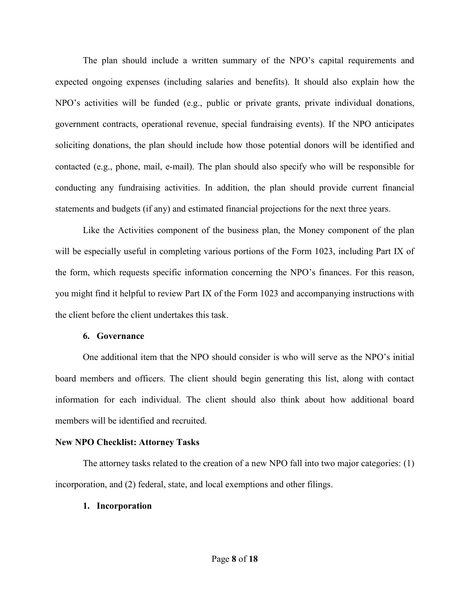The plan should include a written summary of the NPO's capital requirements and expected ongoing expenses (including salaries and benefits). It should also explain how the NPO's activities will be funded (e.g., public or private grants, private individual donations, government contracts, operational revenue, special fundraising events). If the NPO anticipates soliciting donations, the plan should include how those potential donors will be identified and contacted (e.g., phone, mail, e-mail). The plan should also specify who will be responsible for conducting any fundraising activities. In addition, the plan should provide current financial statements and budgets (if any) and estimated financial projections for the next three years.

Like the Activities component of the business plan, the Money component of the plan will be especially useful in completing various portions of the Form 1023, including Part IX of the form, which requests specific information concerning the NPO's finances. For this reason, you might find it helpful to review Part IX of the Form 1023 and accompanying instructions with the client before the client undertakes this task.

#### **6. Governance**

One additional item that the NPO should consider is who will serve as the NPO's initial board members and officers. The client should begin generating this list, along with contact information for each individual. The client should also think about how additional board members will be identified and recruited.

## **New NPO Checklist: Attorney Tasks**

The attorney tasks related to the creation of a new NPO fall into two major categories: (1) incorporation, and (2) federal, state, and local exemptions and other filings.

## **1. Incorporation**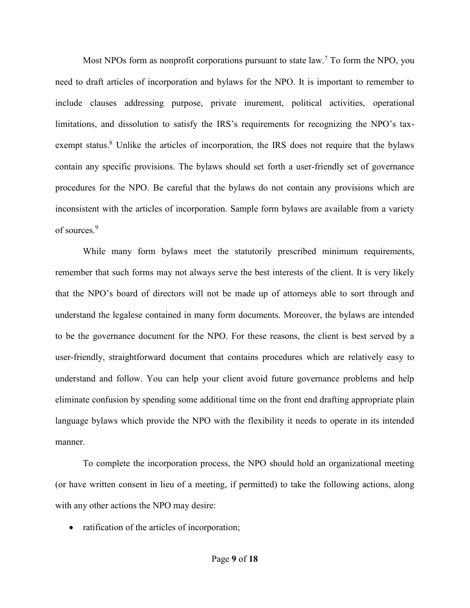Most NPOs form as nonprofit corporations pursuant to state law.<sup>7</sup> To form the NPO, you need to draft articles of incorporation and bylaws for the NPO. It is important to remember to include clauses addressing purpose, private inurement, political activities, operational limitations, and dissolution to satisfy the IRS's requirements for recognizing the NPO's taxexempt status.<sup>8</sup> Unlike the articles of incorporation, the IRS does not require that the bylaws contain any specific provisions. The bylaws should set forth a user-friendly set of governance procedures for the NPO. Be careful that the bylaws do not contain any provisions which are inconsistent with the articles of incorporation. Sample form bylaws are available from a variety of sources<sup>9</sup>

While many form bylaws meet the statutorily prescribed minimum requirements, remember that such forms may not always serve the best interests of the client. It is very likely that the NPO's board of directors will not be made up of attorneys able to sort through and understand the legalese contained in many form documents. Moreover, the bylaws are intended to be the governance document for the NPO. For these reasons, the client is best served by a user-friendly, straightforward document that contains procedures which are relatively easy to understand and follow. You can help your client avoid future governance problems and help eliminate confusion by spending some additional time on the front end drafting appropriate plain language bylaws which provide the NPO with the flexibility it needs to operate in its intended manner.

To complete the incorporation process, the NPO should hold an organizational meeting (or have written consent in lieu of a meeting, if permitted) to take the following actions, along with any other actions the NPO may desire:

• ratification of the articles of incorporation;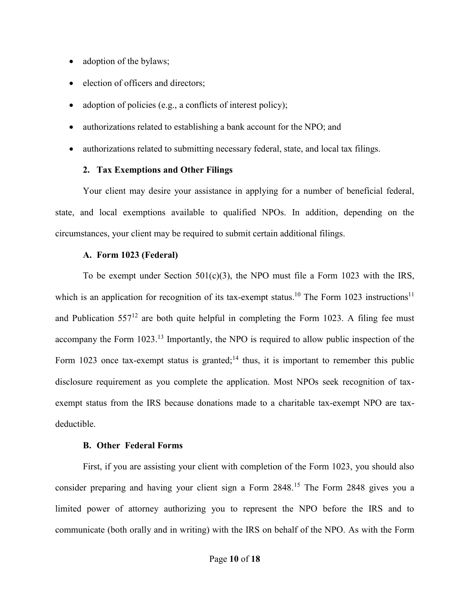- adoption of the bylaws;
- election of officers and directors;
- adoption of policies (e.g., a conflicts of interest policy);
- authorizations related to establishing a bank account for the NPO; and
- authorizations related to submitting necessary federal, state, and local tax filings.

#### **2. Tax Exemptions and Other Filings**

Your client may desire your assistance in applying for a number of beneficial federal, state, and local exemptions available to qualified NPOs. In addition, depending on the circumstances, your client may be required to submit certain additional filings.

#### **A. Form 1023 (Federal)**

To be exempt under Section  $501(c)(3)$ , the NPO must file a Form 1023 with the IRS, which is an application for recognition of its tax-exempt status.<sup>10</sup> The Form 1023 instructions<sup>11</sup> and Publication  $557^{12}$  are both quite helpful in completing the Form 1023. A filing fee must accompany the Form 1023.<sup>13</sup> Importantly, the NPO is required to allow public inspection of the Form 1023 once tax-exempt status is granted;<sup>14</sup> thus, it is important to remember this public disclosure requirement as you complete the application. Most NPOs seek recognition of taxexempt status from the IRS because donations made to a charitable tax-exempt NPO are taxdeductible.

#### **B. Other Federal Forms**

 First, if you are assisting your client with completion of the Form 1023, you should also consider preparing and having your client sign a Form 2848.15 The Form 2848 gives you a limited power of attorney authorizing you to represent the NPO before the IRS and to communicate (both orally and in writing) with the IRS on behalf of the NPO. As with the Form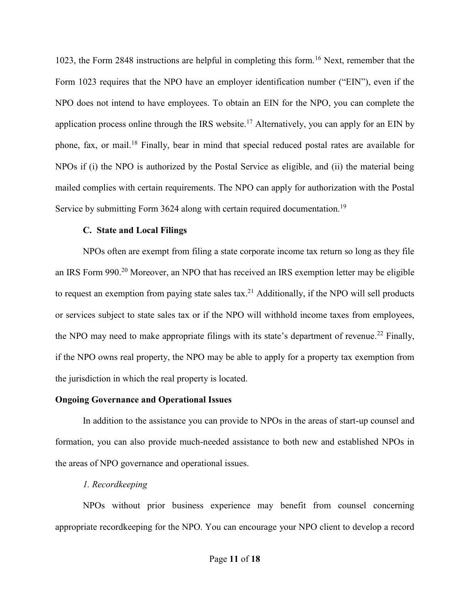1023, the Form 2848 instructions are helpful in completing this form.16 Next, remember that the Form 1023 requires that the NPO have an employer identification number ("EIN"), even if the NPO does not intend to have employees. To obtain an EIN for the NPO, you can complete the application process online through the IRS website.<sup>17</sup> Alternatively, you can apply for an EIN by phone, fax, or mail.18 Finally, bear in mind that special reduced postal rates are available for NPOs if (i) the NPO is authorized by the Postal Service as eligible, and (ii) the material being mailed complies with certain requirements. The NPO can apply for authorization with the Postal Service by submitting Form 3624 along with certain required documentation.<sup>19</sup>

#### **C. State and Local Filings**

NPOs often are exempt from filing a state corporate income tax return so long as they file an IRS Form 990.<sup>20</sup> Moreover, an NPO that has received an IRS exemption letter may be eligible to request an exemption from paying state sales tax.<sup>21</sup> Additionally, if the NPO will sell products or services subject to state sales tax or if the NPO will withhold income taxes from employees, the NPO may need to make appropriate filings with its state's department of revenue.<sup>22</sup> Finally, if the NPO owns real property, the NPO may be able to apply for a property tax exemption from the jurisdiction in which the real property is located.

#### **Ongoing Governance and Operational Issues**

In addition to the assistance you can provide to NPOs in the areas of start-up counsel and formation, you can also provide much-needed assistance to both new and established NPOs in the areas of NPO governance and operational issues.

#### *1. Recordkeeping*

NPOs without prior business experience may benefit from counsel concerning appropriate recordkeeping for the NPO. You can encourage your NPO client to develop a record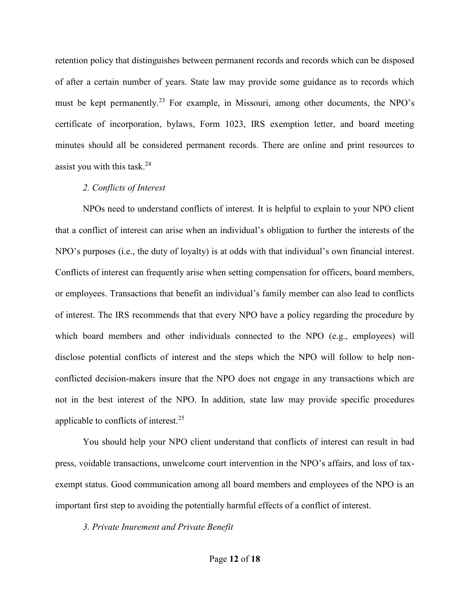retention policy that distinguishes between permanent records and records which can be disposed of after a certain number of years. State law may provide some guidance as to records which must be kept permanently.<sup>23</sup> For example, in Missouri, among other documents, the NPO's certificate of incorporation, bylaws, Form 1023, IRS exemption letter, and board meeting minutes should all be considered permanent records. There are online and print resources to assist you with this task. $^{24}$ 

#### *2. Conflicts of Interest*

NPOs need to understand conflicts of interest. It is helpful to explain to your NPO client that a conflict of interest can arise when an individual's obligation to further the interests of the NPO's purposes (i.e., the duty of loyalty) is at odds with that individual's own financial interest. Conflicts of interest can frequently arise when setting compensation for officers, board members, or employees. Transactions that benefit an individual's family member can also lead to conflicts of interest. The IRS recommends that that every NPO have a policy regarding the procedure by which board members and other individuals connected to the NPO (e.g., employees) will disclose potential conflicts of interest and the steps which the NPO will follow to help nonconflicted decision-makers insure that the NPO does not engage in any transactions which are not in the best interest of the NPO. In addition, state law may provide specific procedures applicable to conflicts of interest.<sup>25</sup>

You should help your NPO client understand that conflicts of interest can result in bad press, voidable transactions, unwelcome court intervention in the NPO's affairs, and loss of taxexempt status. Good communication among all board members and employees of the NPO is an important first step to avoiding the potentially harmful effects of a conflict of interest.

*3. Private Inurement and Private Benefit*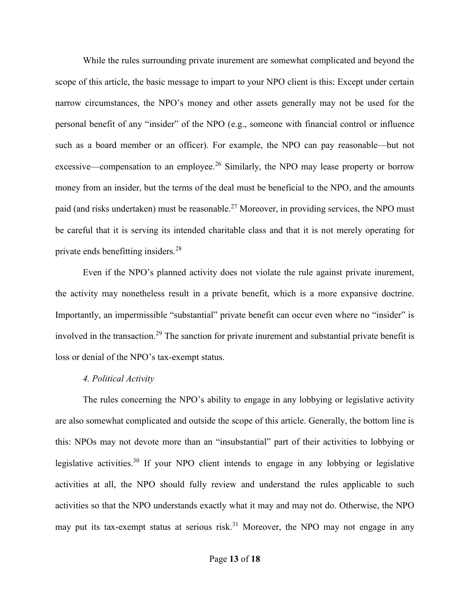While the rules surrounding private inurement are somewhat complicated and beyond the scope of this article, the basic message to impart to your NPO client is this: Except under certain narrow circumstances, the NPO's money and other assets generally may not be used for the personal benefit of any "insider" of the NPO (e.g., someone with financial control or influence such as a board member or an officer). For example, the NPO can pay reasonable—but not excessive—compensation to an employee.<sup>26</sup> Similarly, the NPO may lease property or borrow money from an insider, but the terms of the deal must be beneficial to the NPO, and the amounts paid (and risks undertaken) must be reasonable.<sup>27</sup> Moreover, in providing services, the NPO must be careful that it is serving its intended charitable class and that it is not merely operating for private ends benefitting insiders.<sup>28</sup>

Even if the NPO's planned activity does not violate the rule against private inurement, the activity may nonetheless result in a private benefit, which is a more expansive doctrine. Importantly, an impermissible "substantial" private benefit can occur even where no "insider" is involved in the transaction.<sup>29</sup> The sanction for private inurement and substantial private benefit is loss or denial of the NPO's tax-exempt status.

#### *4. Political Activity*

The rules concerning the NPO's ability to engage in any lobbying or legislative activity are also somewhat complicated and outside the scope of this article. Generally, the bottom line is this: NPOs may not devote more than an "insubstantial" part of their activities to lobbying or legislative activities.30 If your NPO client intends to engage in any lobbying or legislative activities at all, the NPO should fully review and understand the rules applicable to such activities so that the NPO understands exactly what it may and may not do. Otherwise, the NPO may put its tax-exempt status at serious risk.<sup>31</sup> Moreover, the NPO may not engage in any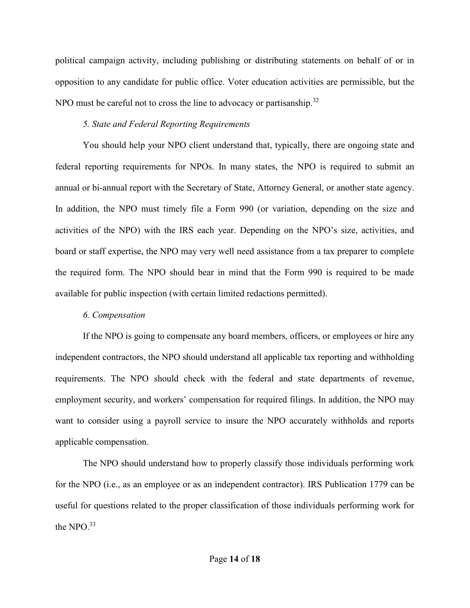political campaign activity, including publishing or distributing statements on behalf of or in opposition to any candidate for public office. Voter education activities are permissible, but the NPO must be careful not to cross the line to advocacy or partisanship.<sup>32</sup>

## *5. State and Federal Reporting Requirements*

You should help your NPO client understand that, typically, there are ongoing state and federal reporting requirements for NPOs. In many states, the NPO is required to submit an annual or bi-annual report with the Secretary of State, Attorney General, or another state agency. In addition, the NPO must timely file a Form 990 (or variation, depending on the size and activities of the NPO) with the IRS each year. Depending on the NPO's size, activities, and board or staff expertise, the NPO may very well need assistance from a tax preparer to complete the required form. The NPO should bear in mind that the Form 990 is required to be made available for public inspection (with certain limited redactions permitted).

## *6. Compensation*

If the NPO is going to compensate any board members, officers, or employees or hire any independent contractors, the NPO should understand all applicable tax reporting and withholding requirements. The NPO should check with the federal and state departments of revenue, employment security, and workers' compensation for required filings. In addition, the NPO may want to consider using a payroll service to insure the NPO accurately withholds and reports applicable compensation.

The NPO should understand how to properly classify those individuals performing work for the NPO (i.e., as an employee or as an independent contractor). IRS Publication 1779 can be useful for questions related to the proper classification of those individuals performing work for the NPO.<sup>33</sup>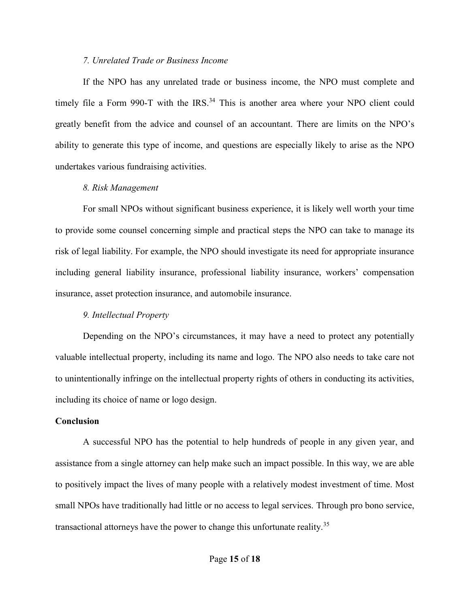#### *7. Unrelated Trade or Business Income*

If the NPO has any unrelated trade or business income, the NPO must complete and timely file a Form 990-T with the IRS.<sup>34</sup> This is another area where your NPO client could greatly benefit from the advice and counsel of an accountant. There are limits on the NPO's ability to generate this type of income, and questions are especially likely to arise as the NPO undertakes various fundraising activities.

#### *8. Risk Management*

For small NPOs without significant business experience, it is likely well worth your time to provide some counsel concerning simple and practical steps the NPO can take to manage its risk of legal liability. For example, the NPO should investigate its need for appropriate insurance including general liability insurance, professional liability insurance, workers' compensation insurance, asset protection insurance, and automobile insurance.

#### *9. Intellectual Property*

Depending on the NPO's circumstances, it may have a need to protect any potentially valuable intellectual property, including its name and logo. The NPO also needs to take care not to unintentionally infringe on the intellectual property rights of others in conducting its activities, including its choice of name or logo design.

#### **Conclusion**

 A successful NPO has the potential to help hundreds of people in any given year, and assistance from a single attorney can help make such an impact possible. In this way, we are able to positively impact the lives of many people with a relatively modest investment of time. Most small NPOs have traditionally had little or no access to legal services. Through pro bono service, transactional attorneys have the power to change this unfortunate reality.<sup>35</sup>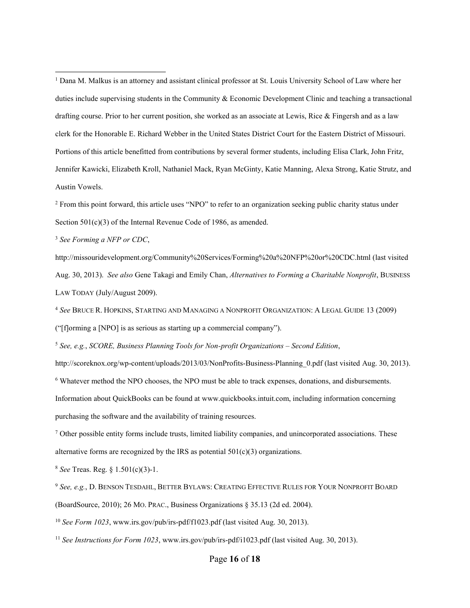<sup>1</sup> Dana M. Malkus is an attorney and assistant clinical professor at St. Louis University School of Law where her duties include supervising students in the Community & Economic Development Clinic and teaching a transactional drafting course. Prior to her current position, she worked as an associate at Lewis, Rice & Fingersh and as a law clerk for the Honorable E. Richard Webber in the United States District Court for the Eastern District of Missouri. Portions of this article benefitted from contributions by several former students, including Elisa Clark, John Fritz, Jennifer Kawicki, Elizabeth Kroll, Nathaniel Mack, Ryan McGinty, Katie Manning, Alexa Strong, Katie Strutz, and Austin Vowels.

<sup>2</sup> From this point forward, this article uses "NPO" to refer to an organization seeking public charity status under Section 501(c)(3) of the Internal Revenue Code of 1986, as amended.

<sup>3</sup> *See Forming a NFP or CDC*,

http://missouridevelopment.org/Community%20Services/Forming%20a%20NFP%20or%20CDC.html (last visited Aug. 30, 2013). *See also* Gene Takagi and Emily Chan, *Alternatives to Forming a Charitable Nonprofit*, BUSINESS LAW TODAY (July/August 2009).

<sup>4</sup> *See* BRUCE R. HOPKINS, STARTING AND MANAGING A NONPROFIT ORGANIZATION: A LEGAL GUIDE 13 (2009) ("[f]orming a [NPO] is as serious as starting up a commercial company").

<sup>5</sup> *See, e.g.*, *SCORE, Business Planning Tools for Non-profit Organizations – Second Edition*,

http://scoreknox.org/wp-content/uploads/2013/03/NonProfits-Business-Planning 0.pdf (last visited Aug. 30, 2013).

6 Whatever method the NPO chooses, the NPO must be able to track expenses, donations, and disbursements.

Information about QuickBooks can be found at www.quickbooks.intuit.com, including information concerning purchasing the software and the availability of training resources.

<sup>7</sup> Other possible entity forms include trusts, limited liability companies, and unincorporated associations. These alternative forms are recognized by the IRS as potential  $501(c)(3)$  organizations.

<sup>8</sup> *See* Treas. Reg. § 1.501(c)(3)-1.

<sup>9</sup> *See, e.g.*, D. BENSON TESDAHL, BETTER BYLAWS: CREATING EFFECTIVE RULES FOR YOUR NONPROFIT BOARD (BoardSource, 2010); 26 MO. PRAC., Business Organizations § 35.13 (2d ed. 2004).

<sup>10</sup> *See Form 1023*, www.irs.gov/pub/irs-pdf/f1023.pdf (last visited Aug. 30, 2013).

<sup>11</sup> *See Instructions for Form 1023*, www.irs.gov/pub/irs-pdf/i1023.pdf (last visited Aug. 30, 2013).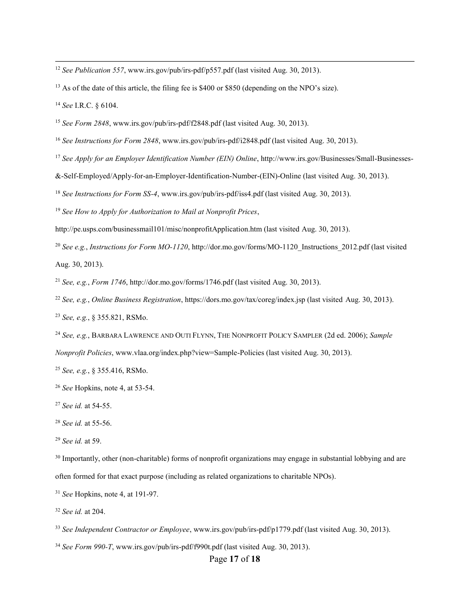<sup>12</sup> *See Publication 557*, www.irs.gov/pub/irs-pdf/p557.pdf (last visited Aug. 30, 2013).

<sup>13</sup> As of the date of this article, the filing fee is \$400 or \$850 (depending on the NPO's size).

*See* I.R.C. § 6104.

*See Form 2848*, www.irs.gov/pub/irs-pdf/f2848.pdf (last visited Aug. 30, 2013).

*See Instructions for Form 2848*, www.irs.gov/pub/irs-pdf/i2848.pdf (last visited Aug. 30, 2013).

*See Apply for an Employer Identification Number (EIN) Online*, http://www.irs.gov/Businesses/Small-Businesses-

&-Self-Employed/Apply-for-an-Employer-Identification-Number-(EIN)-Online (last visited Aug. 30, 2013).

*See Instructions for Form SS-4*, www.irs.gov/pub/irs-pdf/iss4.pdf (last visited Aug. 30, 2013).

*See How to Apply for Authorization to Mail at Nonprofit Prices*,

http://pe.usps.com/businessmail101/misc/nonprofitApplication.htm (last visited Aug. 30, 2013).

<sup>20</sup> See e.g., *Instructions for Form MO-1120*, http://dor.mo.gov/forms/MO-1120\_Instructions\_2012.pdf (last visited Aug. 30, 2013).

*See, e.g.*, *Form 1746*, http://dor.mo.gov/forms/1746.pdf (last visited Aug. 30, 2013).

*See, e.g.*, *Online Business Registration*, https://dors.mo.gov/tax/coreg/index.jsp (last visited Aug. 30, 2013).

*See, e.g.*, § 355.821, RSMo.

*See, e.g.*, BARBARA LAWRENCE AND OUTI FLYNN, THE NONPROFIT POLICY SAMPLER (2d ed. 2006); *Sample* 

*Nonprofit Policies*, www.vlaa.org/index.php?view=Sample-Policies (last visited Aug. 30, 2013).

*See, e.g.*, § 355.416, RSMo.

*See* Hopkins, note 4, at 53-54.

*See id.* at 54-55.

*See id.* at 55-56.

*See id.* at 59.

<sup>30</sup> Importantly, other (non-charitable) forms of nonprofit organizations may engage in substantial lobbying and are often formed for that exact purpose (including as related organizations to charitable NPOs).

*See* Hopkins, note 4, at 191-97.

*See id.* at 204.

*See Independent Contractor or Employee*, www.irs.gov/pub/irs-pdf/p1779.pdf (last visited Aug. 30, 2013).

*See Form 990-T*, www.irs.gov/pub/irs-pdf/f990t.pdf (last visited Aug. 30, 2013).

Page **17** of **18**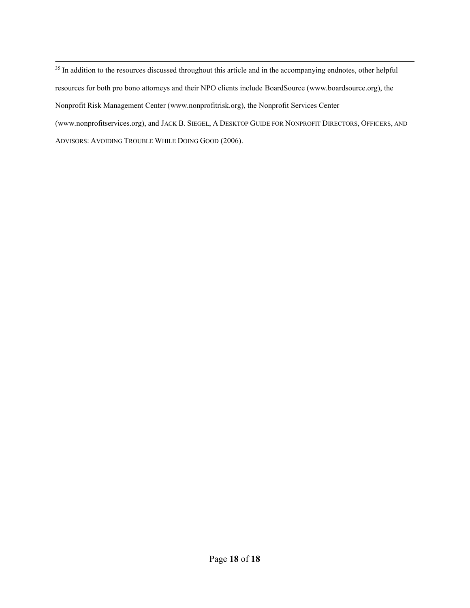<sup>35</sup> In addition to the resources discussed throughout this article and in the accompanying endnotes, other helpful resources for both pro bono attorneys and their NPO clients include BoardSource (www.boardsource.org), the Nonprofit Risk Management Center (www.nonprofitrisk.org), the Nonprofit Services Center (www.nonprofitservices.org), and JACK B. SIEGEL, A DESKTOP GUIDE FOR NONPROFIT DIRECTORS, OFFICERS, AND ADVISORS: AVOIDING TROUBLE WHILE DOING GOOD (2006).